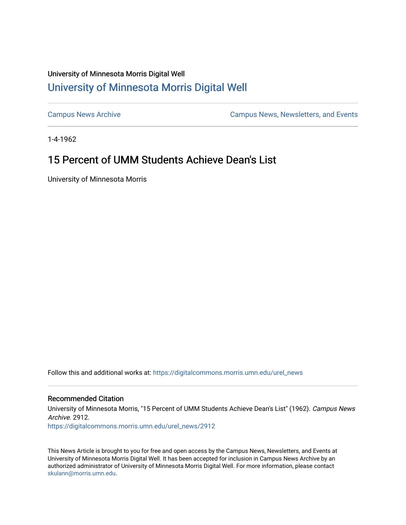## University of Minnesota Morris Digital Well [University of Minnesota Morris Digital Well](https://digitalcommons.morris.umn.edu/)

[Campus News Archive](https://digitalcommons.morris.umn.edu/urel_news) [Campus News, Newsletters, and Events](https://digitalcommons.morris.umn.edu/externalrel) 

1-4-1962

# 15 Percent of UMM Students Achieve Dean's List

University of Minnesota Morris

Follow this and additional works at: [https://digitalcommons.morris.umn.edu/urel\\_news](https://digitalcommons.morris.umn.edu/urel_news?utm_source=digitalcommons.morris.umn.edu%2Furel_news%2F2912&utm_medium=PDF&utm_campaign=PDFCoverPages) 

## Recommended Citation

University of Minnesota Morris, "15 Percent of UMM Students Achieve Dean's List" (1962). Campus News Archive. 2912.

[https://digitalcommons.morris.umn.edu/urel\\_news/2912](https://digitalcommons.morris.umn.edu/urel_news/2912?utm_source=digitalcommons.morris.umn.edu%2Furel_news%2F2912&utm_medium=PDF&utm_campaign=PDFCoverPages) 

This News Article is brought to you for free and open access by the Campus News, Newsletters, and Events at University of Minnesota Morris Digital Well. It has been accepted for inclusion in Campus News Archive by an authorized administrator of University of Minnesota Morris Digital Well. For more information, please contact [skulann@morris.umn.edu.](mailto:skulann@morris.umn.edu)